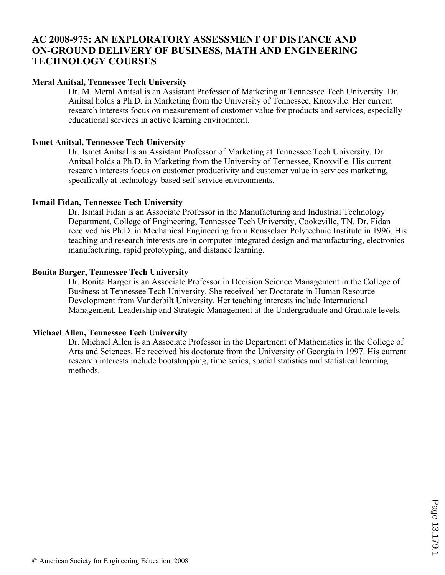# **AC 2008-975: AN EXPLORATORY ASSESSMENT OF DISTANCE AND ON-GROUND DELIVERY OF BUSINESS, MATH AND ENGINEERING TECHNOLOGY COURSES**

### **Meral Anitsal, Tennessee Tech University**

Dr. M. Meral Anitsal is an Assistant Professor of Marketing at Tennessee Tech University. Dr. Anitsal holds a Ph.D. in Marketing from the University of Tennessee, Knoxville. Her current research interests focus on measurement of customer value for products and services, especially educational services in active learning environment.

#### **Ismet Anitsal, Tennessee Tech University**

Dr. Ismet Anitsal is an Assistant Professor of Marketing at Tennessee Tech University. Dr. Anitsal holds a Ph.D. in Marketing from the University of Tennessee, Knoxville. His current research interests focus on customer productivity and customer value in services marketing, specifically at technology-based self-service environments.

#### **Ismail Fidan, Tennessee Tech University**

Dr. Ismail Fidan is an Associate Professor in the Manufacturing and Industrial Technology Department, College of Engineering, Tennessee Tech University, Cookeville, TN. Dr. Fidan received his Ph.D. in Mechanical Engineering from Rensselaer Polytechnic Institute in 1996. His teaching and research interests are in computer-integrated design and manufacturing, electronics manufacturing, rapid prototyping, and distance learning.

### **Bonita Barger, Tennessee Tech University**

Dr. Bonita Barger is an Associate Professor in Decision Science Management in the College of Business at Tennessee Tech University. She received her Doctorate in Human Resource Development from Vanderbilt University. Her teaching interests include International Management, Leadership and Strategic Management at the Undergraduate and Graduate levels.

#### **Michael Allen, Tennessee Tech University**

Dr. Michael Allen is an Associate Professor in the Department of Mathematics in the College of Arts and Sciences. He received his doctorate from the University of Georgia in 1997. His current research interests include bootstrapping, time series, spatial statistics and statistical learning methods.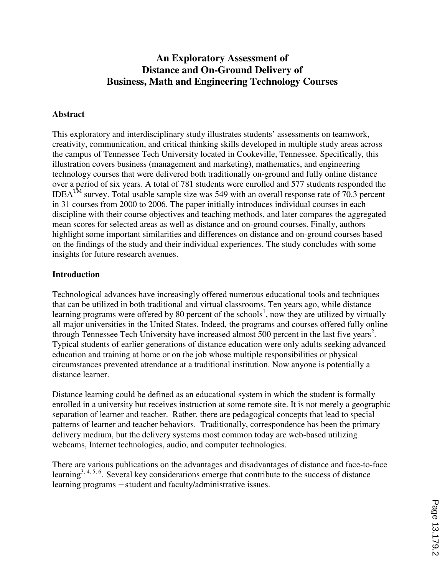# **An Exploratory Assessment of Distance and On-Ground Delivery of Business, Math and Engineering Technology Courses**

### **Abstract**

This exploratory and interdisciplinary study illustrates students' assessments on teamwork, creativity, communication, and critical thinking skills developed in multiple study areas across the campus of Tennessee Tech University located in Cookeville, Tennessee. Specifically, this illustration covers business (management and marketing), mathematics, and engineering technology courses that were delivered both traditionally on-ground and fully online distance over a period of six years. A total of 781 students were enrolled and 577 students responded the IDEA<sup>TM</sup> survey. Total usable sample size was 549 with an overall response rate of  $70.3$  percent in 31 courses from 2000 to 2006. The paper initially introduces individual courses in each discipline with their course objectives and teaching methods, and later compares the aggregated mean scores for selected areas as well as distance and on-ground courses. Finally, authors highlight some important similarities and differences on distance and on-ground courses based on the findings of the study and their individual experiences. The study concludes with some insights for future research avenues.

#### **Introduction**

Technological advances have increasingly offered numerous educational tools and techniques that can be utilized in both traditional and virtual classrooms. Ten years ago, while distance learning programs were offered by 80 percent of the schools<sup>1</sup>, now they are utilized by virtually all major universities in the United States. Indeed, the programs and courses offered fully online through Tennessee Tech University have increased almost 500 percent in the last five years<sup>2</sup>. Typical students of earlier generations of distance education were only adults seeking advanced education and training at home or on the job whose multiple responsibilities or physical circumstances prevented attendance at a traditional institution. Now anyone is potentially a distance learner.

Distance learning could be defined as an educational system in which the student is formally enrolled in a university but receives instruction at some remote site. It is not merely a geographic separation of learner and teacher. Rather, there are pedagogical concepts that lead to special patterns of learner and teacher behaviors. Traditionally, correspondence has been the primary delivery medium, but the delivery systems most common today are web-based utilizing webcams, Internet technologies, audio, and computer technologies.

There are various publications on the advantages and disadvantages of distance and face-to-face learning<sup>3, 4, 5, 6</sup>. Several key considerations emerge that contribute to the success of distance learning programs —student and faculty/administrative issues.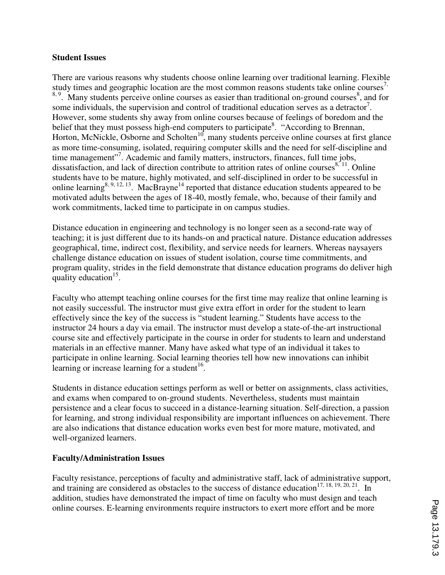#### **Student Issues**

There are various reasons why students choose online learning over traditional learning. Flexible study times and geographic location are the most common reasons students take online courses<sup> $\prime$ ,</sup>  $8, 9$ . Many students perceive online courses as easier than traditional on-ground courses  $8$ , and for some individuals, the supervision and control of traditional education serves as a detractor<sup>7</sup>. However, some students shy away from online courses because of feelings of boredom and the belief that they must possess high-end computers to participate<sup>8</sup>. "According to Brennan, Horton, McNickle, Osborne and Scholten<sup>10</sup>, many students perceive online courses at first glance as more time-consuming, isolated, requiring computer skills and the need for self-discipline and time management"<sup>7</sup>. Academic and family matters, instructors, finances, full time jobs, dissatisfaction, and lack of direction contribute to attrition rates of online courses  $8\degree$  <sup>11</sup>. Online students have to be mature, highly motivated, and self-disciplined in order to be successful in online learning<sup>8, 9, 12, 13</sup>. MacBrayne<sup>14</sup> reported that distance education students appeared to be motivated adults between the ages of 18-40, mostly female, who, because of their family and work commitments, lacked time to participate in on campus studies.

Distance education in engineering and technology is no longer seen as a second-rate way of teaching; it is just different due to its hands-on and practical nature. Distance education addresses geographical, time, indirect cost, flexibility, and service needs for learners. Whereas naysayers challenge distance education on issues of student isolation, course time commitments, and program quality, strides in the field demonstrate that distance education programs do deliver high quality education<sup>15</sup>.

Faculty who attempt teaching online courses for the first time may realize that online learning is not easily successful. The instructor must give extra effort in order for the student to learn effectively since the key of the success is "student learning." Students have access to the instructor 24 hours a day via email. The instructor must develop a state-of-the-art instructional course site and effectively participate in the course in order for students to learn and understand materials in an effective manner. Many have asked what type of an individual it takes to participate in online learning. Social learning theories tell how new innovations can inhibit learning or increase learning for a student<sup>16</sup>.

Students in distance education settings perform as well or better on assignments, class activities, and exams when compared to on-ground students. Nevertheless, students must maintain persistence and a clear focus to succeed in a distance-learning situation. Self-direction, a passion for learning, and strong individual responsibility are important influences on achievement. There are also indications that distance education works even best for more mature, motivated, and well-organized learners.

# **Faculty/Administration Issues**

Faculty resistance, perceptions of faculty and administrative staff, lack of administrative support, and training are considered as obstacles to the success of distance education<sup>17, 18, 19, 20, 21</sup>. In addition, studies have demonstrated the impact of time on faculty who must design and teach online courses. E-learning environments require instructors to exert more effort and be more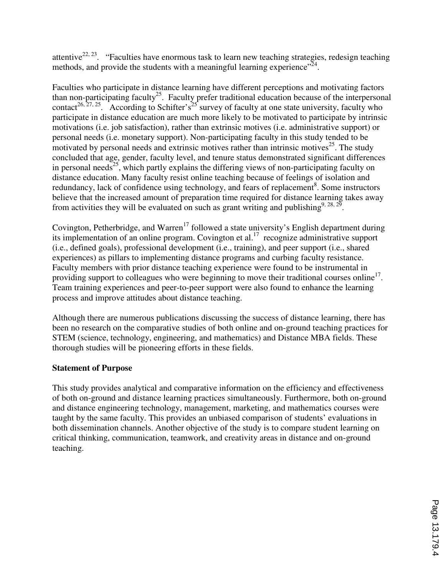attentive<sup>22, 23</sup>. "Faculties have enormous task to learn new teaching strategies, redesign teaching methods, and provide the students with a meaningful learning experience"<sup>24</sup>.

Faculties who participate in distance learning have different perceptions and motivating factors than non-participating faculty<sup>25</sup>. Faculty prefer traditional education because of the interpersonal contact<sup>26, 27, 25</sup>. According to Schifter's<sup>25</sup> survey of faculty at one state university, faculty who participate in distance education are much more likely to be motivated to participate by intrinsic motivations (i.e. job satisfaction), rather than extrinsic motives (i.e. administrative support) or personal needs (i.e. monetary support). Non-participating faculty in this study tended to be motivated by personal needs and extrinsic motives rather than intrinsic motives<sup>25</sup>. The study concluded that age, gender, faculty level, and tenure status demonstrated significant differences in personal needs<sup>25</sup>, which partly explains the differing views of non-participating faculty on distance education. Many faculty resist online teaching because of feelings of isolation and redundancy, lack of confidence using technology, and fears of replacement<sup>8</sup>. Some instructors believe that the increased amount of preparation time required for distance learning takes away from activities they will be evaluated on such as grant writing and publishing<sup>9, 28, 29</sup>.

Covington, Petherbridge, and Warren<sup>17</sup> followed a state university's English department during its implementation of an online program. Covington et al.<sup>17</sup> recognize administrative support (i.e., defined goals), professional development (i.e., training), and peer support (i.e., shared experiences) as pillars to implementing distance programs and curbing faculty resistance. Faculty members with prior distance teaching experience were found to be instrumental in providing support to colleagues who were beginning to move their traditional courses online<sup>17</sup>. Team training experiences and peer-to-peer support were also found to enhance the learning process and improve attitudes about distance teaching.

Although there are numerous publications discussing the success of distance learning, there has been no research on the comparative studies of both online and on-ground teaching practices for STEM (science, technology, engineering, and mathematics) and Distance MBA fields. These thorough studies will be pioneering efforts in these fields.

# **Statement of Purpose**

This study provides analytical and comparative information on the efficiency and effectiveness of both on-ground and distance learning practices simultaneously. Furthermore, both on-ground and distance engineering technology, management, marketing, and mathematics courses were taught by the same faculty. This provides an unbiased comparison of students' evaluations in both dissemination channels. Another objective of the study is to compare student learning on critical thinking, communication, teamwork, and creativity areas in distance and on-ground teaching.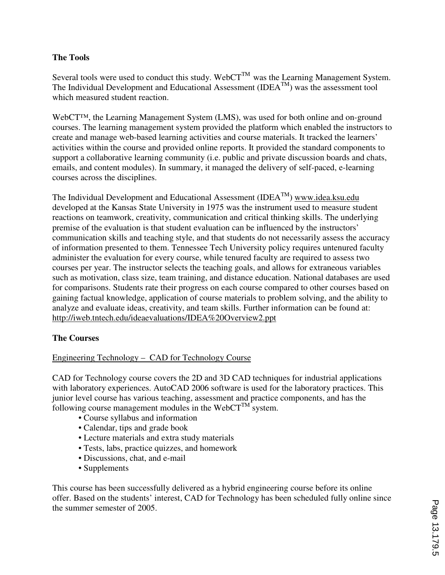# **The Tools**

Several tools were used to conduct this study. Web $CT^{TM}$  was the Learning Management System. The Individual Development and Educational Assessment (IDEATM) was the assessment tool which measured student reaction.

WebCT™, the Learning Management System (LMS), was used for both online and on-ground courses. The learning management system provided the platform which enabled the instructors to create and manage web-based learning activities and course materials. It tracked the learners' activities within the course and provided online reports. It provided the standard components to support a collaborative learning community (i.e. public and private discussion boards and chats, emails, and content modules). In summary, it managed the delivery of self-paced, e-learning courses across the disciplines.

The Individual Development and Educational Assessment  $(IDEA<sup>TM</sup>)$  www.idea.ksu.edu developed at the Kansas State University in 1975 was the instrument used to measure student reactions on teamwork, creativity, communication and critical thinking skills. The underlying premise of the evaluation is that student evaluation can be influenced by the instructors' communication skills and teaching style, and that students do not necessarily assess the accuracy of information presented to them. Tennessee Tech University policy requires untenured faculty administer the evaluation for every course, while tenured faculty are required to assess two courses per year. The instructor selects the teaching goals, and allows for extraneous variables such as motivation, class size, team training, and distance education. National databases are used for comparisons. Students rate their progress on each course compared to other courses based on gaining factual knowledge, application of course materials to problem solving, and the ability to analyze and evaluate ideas, creativity, and team skills. Further information can be found at: http://iweb.tntech.edu/ideaevaluations/IDEA%20Overview2.ppt

# **The Courses**

# Engineering Technology – CAD for Technology Course

CAD for Technology course covers the 2D and 3D CAD techniques for industrial applications with laboratory experiences. AutoCAD 2006 software is used for the laboratory practices. This junior level course has various teaching, assessment and practice components, and has the following course management modules in the WebCT $^{TM}$  system.

- Course syllabus and information
- Calendar, tips and grade book
- Lecture materials and extra study materials
- Tests, labs, practice quizzes, and homework
- Discussions, chat, and e-mail
- Supplements

This course has been successfully delivered as a hybrid engineering course before its online offer. Based on the students' interest, CAD for Technology has been scheduled fully online since the summer semester of 2005.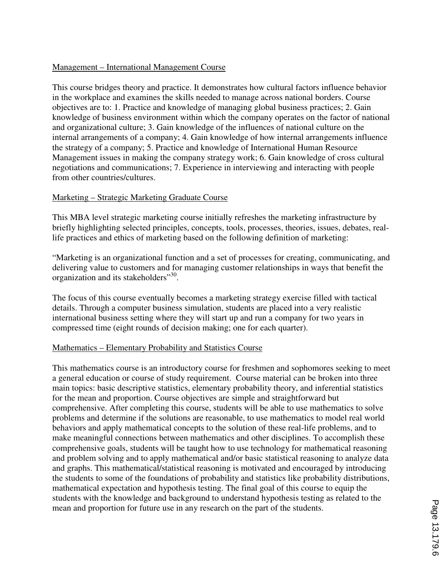### Management – International Management Course

This course bridges theory and practice. It demonstrates how cultural factors influence behavior in the workplace and examines the skills needed to manage across national borders. Course objectives are to: 1. Practice and knowledge of managing global business practices; 2. Gain knowledge of business environment within which the company operates on the factor of national and organizational culture; 3. Gain knowledge of the influences of national culture on the internal arrangements of a company; 4. Gain knowledge of how internal arrangements influence the strategy of a company; 5. Practice and knowledge of International Human Resource Management issues in making the company strategy work; 6. Gain knowledge of cross cultural negotiations and communications; 7. Experience in interviewing and interacting with people from other countries/cultures.

### Marketing – Strategic Marketing Graduate Course

This MBA level strategic marketing course initially refreshes the marketing infrastructure by briefly highlighting selected principles, concepts, tools, processes, theories, issues, debates, reallife practices and ethics of marketing based on the following definition of marketing:

"Marketing is an organizational function and a set of processes for creating, communicating, and delivering value to customers and for managing customer relationships in ways that benefit the organization and its stakeholders"<sup>30</sup>.

The focus of this course eventually becomes a marketing strategy exercise filled with tactical details. Through a computer business simulation, students are placed into a very realistic international business setting where they will start up and run a company for two years in compressed time (eight rounds of decision making; one for each quarter).

#### Mathematics – Elementary Probability and Statistics Course

This mathematics course is an introductory course for freshmen and sophomores seeking to meet a general education or course of study requirement. Course material can be broken into three main topics: basic descriptive statistics, elementary probability theory, and inferential statistics for the mean and proportion. Course objectives are simple and straightforward but comprehensive. After completing this course, students will be able to use mathematics to solve problems and determine if the solutions are reasonable, to use mathematics to model real world behaviors and apply mathematical concepts to the solution of these real-life problems, and to make meaningful connections between mathematics and other disciplines. To accomplish these comprehensive goals, students will be taught how to use technology for mathematical reasoning and problem solving and to apply mathematical and/or basic statistical reasoning to analyze data and graphs. This mathematical/statistical reasoning is motivated and encouraged by introducing the students to some of the foundations of probability and statistics like probability distributions, mathematical expectation and hypothesis testing. The final goal of this course to equip the students with the knowledge and background to understand hypothesis testing as related to the mean and proportion for future use in any research on the part of the students.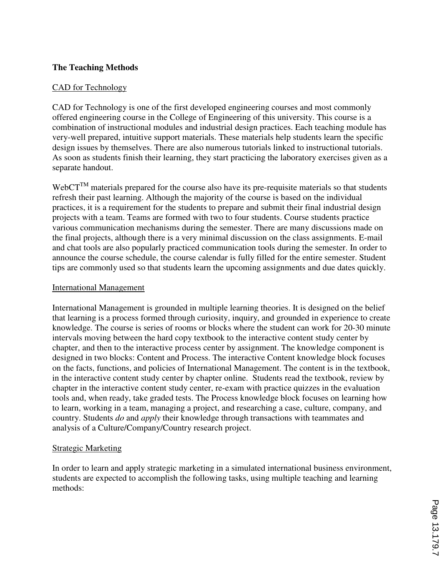### **The Teaching Methods**

### CAD for Technology

CAD for Technology is one of the first developed engineering courses and most commonly offered engineering course in the College of Engineering of this university. This course is a combination of instructional modules and industrial design practices. Each teaching module has very-well prepared, intuitive support materials. These materials help students learn the specific design issues by themselves. There are also numerous tutorials linked to instructional tutorials. As soon as students finish their learning, they start practicing the laboratory exercises given as a separate handout.

Web $CT^{TM}$  materials prepared for the course also have its pre-requisite materials so that students refresh their past learning. Although the majority of the course is based on the individual practices, it is a requirement for the students to prepare and submit their final industrial design projects with a team. Teams are formed with two to four students. Course students practice various communication mechanisms during the semester. There are many discussions made on the final projects, although there is a very minimal discussion on the class assignments. E-mail and chat tools are also popularly practiced communication tools during the semester. In order to announce the course schedule, the course calendar is fully filled for the entire semester. Student tips are commonly used so that students learn the upcoming assignments and due dates quickly.

#### International Management

International Management is grounded in multiple learning theories. It is designed on the belief that learning is a process formed through curiosity, inquiry, and grounded in experience to create knowledge. The course is series of rooms or blocks where the student can work for 20-30 minute intervals moving between the hard copy textbook to the interactive content study center by chapter, and then to the interactive process center by assignment. The knowledge component is designed in two blocks: Content and Process. The interactive Content knowledge block focuses on the facts, functions, and policies of International Management. The content is in the textbook, in the interactive content study center by chapter online. Students read the textbook, review by chapter in the interactive content study center, re-exam with practice quizzes in the evaluation tools and, when ready, take graded tests. The Process knowledge block focuses on learning how to learn, working in a team, managing a project, and researching a case, culture, company, and country. Students *do* and *apply* their knowledge through transactions with teammates and analysis of a Culture/Company/Country research project.

#### Strategic Marketing

In order to learn and apply strategic marketing in a simulated international business environment, students are expected to accomplish the following tasks, using multiple teaching and learning methods: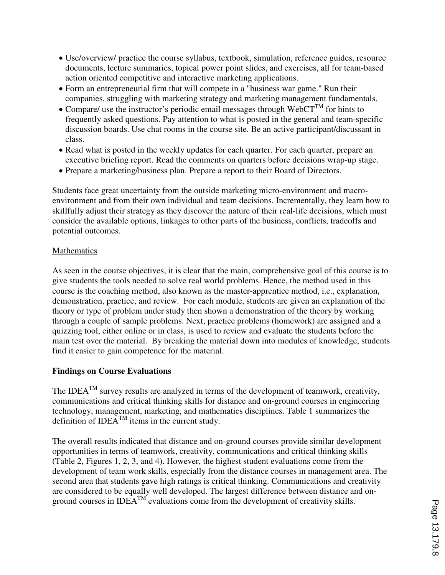- Use/overview/ practice the course syllabus, textbook, simulation, reference guides, resource documents, lecture summaries, topical power point slides, and exercises, all for team-based action oriented competitive and interactive marketing applications.
- Form an entrepreneurial firm that will compete in a "business war game." Run their companies, struggling with marketing strategy and marketing management fundamentals.
- Compare/ use the instructor's periodic email messages through WebCT<sup>TM</sup> for hints to frequently asked questions. Pay attention to what is posted in the general and team-specific discussion boards. Use chat rooms in the course site. Be an active participant/discussant in class.
- Read what is posted in the weekly updates for each quarter. For each quarter, prepare an executive briefing report. Read the comments on quarters before decisions wrap-up stage.
- Prepare a marketing/business plan. Prepare a report to their Board of Directors.

Students face great uncertainty from the outside marketing micro-environment and macroenvironment and from their own individual and team decisions. Incrementally, they learn how to skillfully adjust their strategy as they discover the nature of their real-life decisions, which must consider the available options, linkages to other parts of the business, conflicts, tradeoffs and potential outcomes.

# Mathematics

As seen in the course objectives, it is clear that the main, comprehensive goal of this course is to give students the tools needed to solve real world problems. Hence, the method used in this course is the coaching method, also known as the master-apprentice method, i.e., explanation, demonstration, practice, and review. For each module, students are given an explanation of the theory or type of problem under study then shown a demonstration of the theory by working through a couple of sample problems. Next, practice problems (homework) are assigned and a quizzing tool, either online or in class, is used to review and evaluate the students before the main test over the material. By breaking the material down into modules of knowledge, students find it easier to gain competence for the material.

# **Findings on Course Evaluations**

The IDEA<sup>TM</sup> survey results are analyzed in terms of the development of teamwork, creativity, communications and critical thinking skills for distance and on-ground courses in engineering technology, management, marketing, and mathematics disciplines. Table 1 summarizes the definition of IDE $A^{TM}$  items in the current study.

The overall results indicated that distance and on-ground courses provide similar development opportunities in terms of teamwork, creativity, communications and critical thinking skills (Table 2, Figures 1, 2, 3, and 4). However, the highest student evaluations come from the development of team work skills, especially from the distance courses in management area. The second area that students gave high ratings is critical thinking. Communications and creativity are considered to be equally well developed. The largest difference between distance and onground courses in  $IDEA<sup>TM</sup>$  evaluations come from the development of creativity skills.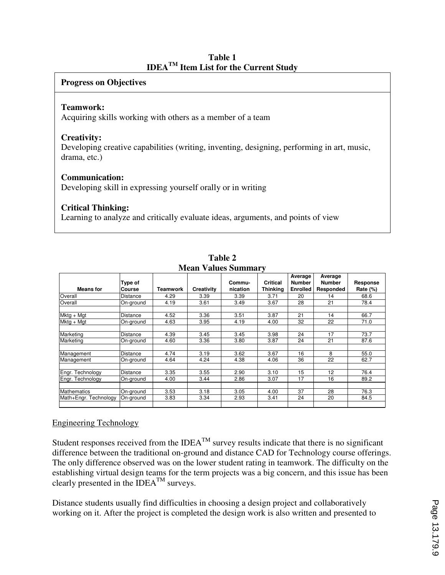| Table 1                                                  |  |  |  |  |  |  |  |  |
|----------------------------------------------------------|--|--|--|--|--|--|--|--|
| <b>IDEA<sup>TM</sup></b> Item List for the Current Study |  |  |  |  |  |  |  |  |

### **Progress on Objectives**

#### **Teamwork:**

Acquiring skills working with others as a member of a team

#### **Creativity:**

Developing creative capabilities (writing, inventing, designing, performing in art, music, drama, etc.)

#### **Communication:**

Developing skill in expressing yourself orally or in writing

### **Critical Thinking:**

Learning to analyze and critically evaluate ideas, arguments, and points of view

| мени у анися в анници у |                   |          |            |                    |                             |                                             |                                       |                         |  |
|-------------------------|-------------------|----------|------------|--------------------|-----------------------------|---------------------------------------------|---------------------------------------|-------------------------|--|
| <b>Means for</b>        | Type of<br>Course | Teamwork | Creativity | Commu-<br>nication | <b>Critical</b><br>Thinking | Average<br><b>Number</b><br><b>Enrolled</b> | Average<br><b>Number</b><br>Responded | Response<br>Rate $(\%)$ |  |
| Overall                 | Distance          | 4.29     | 3.39       | 3.39               | 3.71                        | 20                                          | 14                                    | 68.6                    |  |
| Overall                 | On-ground         | 4.19     | 3.61       | 3.49               | 3.67                        | 28                                          | 21                                    | 78.4                    |  |
| Mktg + Mgt              | Distance          | 4.52     | 3.36       | 3.51               | 3.87                        | 21                                          | 14                                    | 66.7                    |  |
| $Mktg + Mgt$            | On-ground         | 4.63     | 3.95       | 4.19               | 4.00                        | 32                                          | 22                                    | 71.0                    |  |
|                         |                   |          |            |                    |                             |                                             |                                       |                         |  |
| Marketing               | <b>Distance</b>   | 4.39     | 3.45       | 3.45               | 3.98                        | 24                                          | 17                                    | 73.7                    |  |
| Marketing               | On-ground         | 4.60     | 3.36       | 3.80               | 3.87                        | 24                                          | 21                                    | 87.6                    |  |
| Management              | Distance          | 4.74     | 3.19       | 3.62               | 3.67                        | 16                                          | 8                                     | 55.0                    |  |
| Management              | On-ground         | 4.64     | 4.24       | 4.38               | 4.06                        | 36                                          | 22                                    | 62.7                    |  |
| Engr. Technology        | <b>Distance</b>   | 3.35     | 3.55       | 2.90               | 3.10                        | 15                                          | 12                                    | 76.4                    |  |
| Engr. Technology        | On-ground         | 4.00     | 3.44       | 2.86               | 3.07                        | 17                                          | 16                                    | 89.2                    |  |
|                         |                   |          |            |                    |                             |                                             |                                       |                         |  |
| <b>Mathematics</b>      | On-ground         | 3.53     | 3.18       | 3.05               | 4.00                        | 37                                          | 28                                    | 76.3                    |  |
| Math+Engr. Technology   | On-ground         | 3.83     | 3.34       | 2.93               | 3.41                        | 24                                          | 20                                    | 84.5                    |  |
|                         |                   |          |            |                    |                             |                                             |                                       |                         |  |

**Table 2 Mean Values Summary** 

#### Engineering Technology

Student responses received from the IDEA<sup>TM</sup> survey results indicate that there is no significant difference between the traditional on-ground and distance CAD for Technology course offerings. The only difference observed was on the lower student rating in teamwork. The difficulty on the establishing virtual design teams for the term projects was a big concern, and this issue has been clearly presented in the  $\text{IDEA}^{\text{TM}}$  surveys.

Distance students usually find difficulties in choosing a design project and collaboratively working on it. After the project is completed the design work is also written and presented to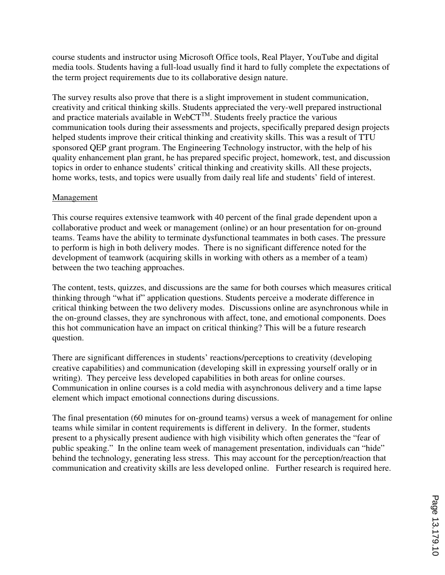course students and instructor using Microsoft Office tools, Real Player, YouTube and digital media tools. Students having a full-load usually find it hard to fully complete the expectations of the term project requirements due to its collaborative design nature.

The survey results also prove that there is a slight improvement in student communication, creativity and critical thinking skills. Students appreciated the very-well prepared instructional and practice materials available in WebCT<sup>TM</sup>. Students freely practice the various communication tools during their assessments and projects, specifically prepared design projects helped students improve their critical thinking and creativity skills. This was a result of TTU sponsored QEP grant program. The Engineering Technology instructor, with the help of his quality enhancement plan grant, he has prepared specific project, homework, test, and discussion topics in order to enhance students' critical thinking and creativity skills. All these projects, home works, tests, and topics were usually from daily real life and students' field of interest.

# **Management**

This course requires extensive teamwork with 40 percent of the final grade dependent upon a collaborative product and week or management (online) or an hour presentation for on-ground teams. Teams have the ability to terminate dysfunctional teammates in both cases. The pressure to perform is high in both delivery modes. There is no significant difference noted for the development of teamwork (acquiring skills in working with others as a member of a team) between the two teaching approaches.

The content, tests, quizzes, and discussions are the same for both courses which measures critical thinking through "what if" application questions. Students perceive a moderate difference in critical thinking between the two delivery modes. Discussions online are asynchronous while in the on-ground classes, they are synchronous with affect, tone, and emotional components. Does this hot communication have an impact on critical thinking? This will be a future research question.

There are significant differences in students' reactions/perceptions to creativity (developing creative capabilities) and communication (developing skill in expressing yourself orally or in writing). They perceive less developed capabilities in both areas for online courses. Communication in online courses is a cold media with asynchronous delivery and a time lapse element which impact emotional connections during discussions.

The final presentation (60 minutes for on-ground teams) versus a week of management for online teams while similar in content requirements is different in delivery. In the former, students present to a physically present audience with high visibility which often generates the "fear of public speaking." In the online team week of management presentation, individuals can "hide" behind the technology, generating less stress. This may account for the perception/reaction that communication and creativity skills are less developed online. Further research is required here.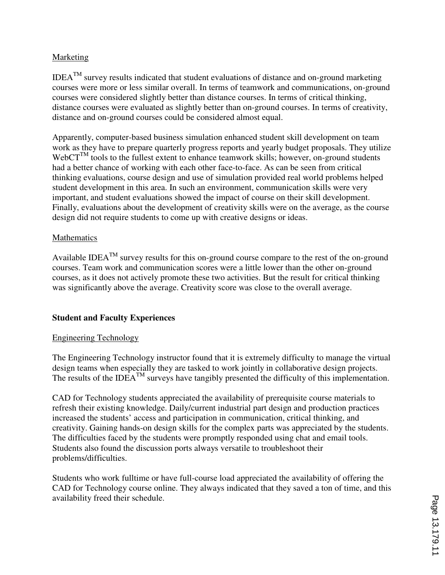# Marketing

 $IDEA<sup>TM</sup>$  survey results indicated that student evaluations of distance and on-ground marketing courses were more or less similar overall. In terms of teamwork and communications, on-ground courses were considered slightly better than distance courses. In terms of critical thinking, distance courses were evaluated as slightly better than on-ground courses. In terms of creativity, distance and on-ground courses could be considered almost equal.

Apparently, computer-based business simulation enhanced student skill development on team work as they have to prepare quarterly progress reports and yearly budget proposals. They utilize  $WebCT^{TM}$  tools to the fullest extent to enhance teamwork skills; however, on-ground students had a better chance of working with each other face-to-face. As can be seen from critical thinking evaluations, course design and use of simulation provided real world problems helped student development in this area. In such an environment, communication skills were very important, and student evaluations showed the impact of course on their skill development. Finally, evaluations about the development of creativity skills were on the average, as the course design did not require students to come up with creative designs or ideas.

# **Mathematics**

Available IDEA<sup>TM</sup> survey results for this on-ground course compare to the rest of the on-ground courses. Team work and communication scores were a little lower than the other on-ground courses, as it does not actively promote these two activities. But the result for critical thinking was significantly above the average. Creativity score was close to the overall average.

# **Student and Faculty Experiences**

# Engineering Technology

The Engineering Technology instructor found that it is extremely difficulty to manage the virtual design teams when especially they are tasked to work jointly in collaborative design projects. The results of the IDEA<sup>TM</sup> surveys have tangibly presented the difficulty of this implementation.

CAD for Technology students appreciated the availability of prerequisite course materials to refresh their existing knowledge. Daily/current industrial part design and production practices increased the students' access and participation in communication, critical thinking, and creativity. Gaining hands-on design skills for the complex parts was appreciated by the students. The difficulties faced by the students were promptly responded using chat and email tools. Students also found the discussion ports always versatile to troubleshoot their problems/difficulties.

Students who work fulltime or have full-course load appreciated the availability of offering the CAD for Technology course online. They always indicated that they saved a ton of time, and this availability freed their schedule.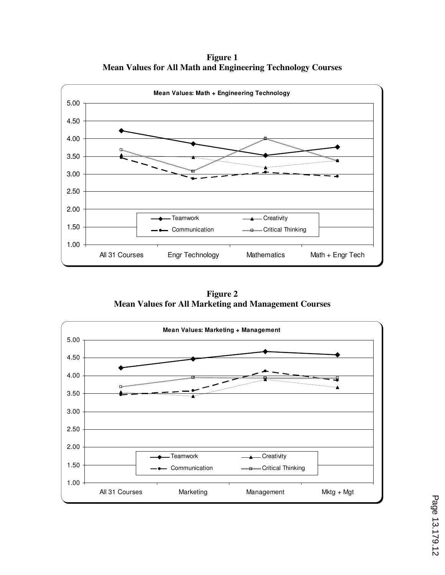**Figure 1 Mean Values for All Math and Engineering Technology Courses** 



**Figure 2 Mean Values for All Marketing and Management Courses** 

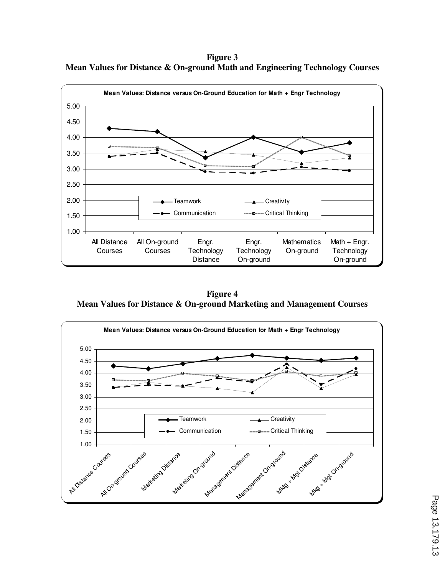**Figure 3 Mean Values for Distance & On-ground Math and Engineering Technology Courses** 



**Figure 4 Mean Values for Distance & On-ground Marketing and Management Courses** 

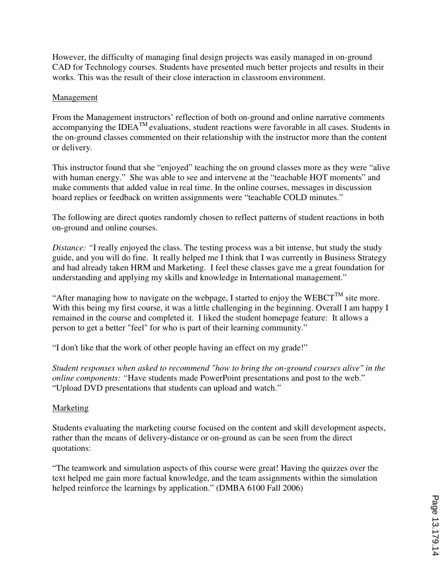However, the difficulty of managing final design projects was easily managed in on-ground CAD for Technology courses. Students have presented much better projects and results in their works. This was the result of their close interaction in classroom environment.

### Management

From the Management instructors' reflection of both on-ground and online narrative comments accompanying the IDEA<sup>TM</sup> evaluations, student reactions were favorable in all cases. Students in the on-ground classes commented on their relationship with the instructor more than the content or delivery.

This instructor found that she "enjoyed" teaching the on ground classes more as they were "alive with human energy." She was able to see and intervene at the "teachable HOT moments" and make comments that added value in real time. In the online courses, messages in discussion board replies or feedback on written assignments were "teachable COLD minutes."

The following are direct quotes randomly chosen to reflect patterns of student reactions in both on-ground and online courses.

*Distance: "*I really enjoyed the class. The testing process was a bit intense, but study the study guide, and you will do fine. It really helped me I think that I was currently in Business Strategy and had already taken HRM and Marketing. I feel these classes gave me a great foundation for understanding and applying my skills and knowledge in International management."

"After managing how to navigate on the webpage, I started to enjoy the WEBCT<sup>TM</sup> site more. With this being my first course, it was a little challenging in the beginning. Overall I am happy I remained in the course and completed it. I liked the student homepage feature: It allows a person to get a better "feel" for who is part of their learning community."

"I don't like that the work of other people having an effect on my grade!"

*Student responses when asked to recommend "how to bring the on-ground courses alive" in the online components:* "Have students made PowerPoint presentations and post to the web." "Upload DVD presentations that students can upload and watch."

# Marketing

Students evaluating the marketing course focused on the content and skill development aspects, rather than the means of delivery-distance or on-ground as can be seen from the direct quotations:

"The teamwork and simulation aspects of this course were great! Having the quizzes over the text helped me gain more factual knowledge, and the team assignments within the simulation helped reinforce the learnings by application." (DMBA 6100 Fall 2006)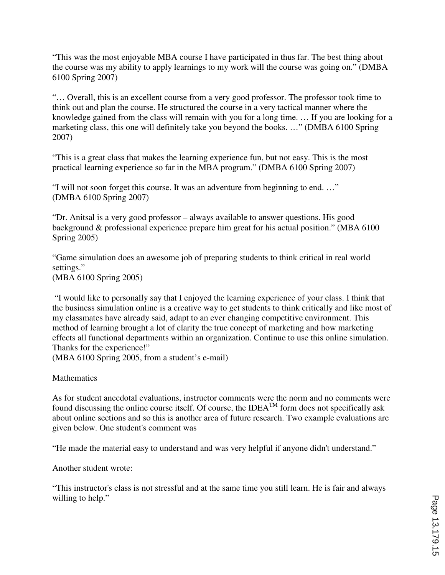"This was the most enjoyable MBA course I have participated in thus far. The best thing about the course was my ability to apply learnings to my work will the course was going on." (DMBA 6100 Spring 2007)

"… Overall, this is an excellent course from a very good professor. The professor took time to think out and plan the course. He structured the course in a very tactical manner where the knowledge gained from the class will remain with you for a long time. … If you are looking for a marketing class, this one will definitely take you beyond the books. …" (DMBA 6100 Spring 2007)

"This is a great class that makes the learning experience fun, but not easy. This is the most practical learning experience so far in the MBA program." (DMBA 6100 Spring 2007)

"I will not soon forget this course. It was an adventure from beginning to end. …" (DMBA 6100 Spring 2007)

"Dr. Anitsal is a very good professor – always available to answer questions. His good background & professional experience prepare him great for his actual position." (MBA 6100 Spring 2005)

"Game simulation does an awesome job of preparing students to think critical in real world settings." (MBA 6100 Spring 2005)

 "I would like to personally say that I enjoyed the learning experience of your class. I think that the business simulation online is a creative way to get students to think critically and like most of my classmates have already said, adapt to an ever changing competitive environment. This

method of learning brought a lot of clarity the true concept of marketing and how marketing effects all functional departments within an organization. Continue to use this online simulation. Thanks for the experience!"

(MBA 6100 Spring 2005, from a student's e-mail)

# Mathematics

As for student anecdotal evaluations, instructor comments were the norm and no comments were found discussing the online course itself. Of course, the IDEA<sup>TM</sup> form does not specifically ask about online sections and so this is another area of future research. Two example evaluations are given below. One student's comment was

"He made the material easy to understand and was very helpful if anyone didn't understand."

Another student wrote:

"This instructor's class is not stressful and at the same time you still learn. He is fair and always willing to help."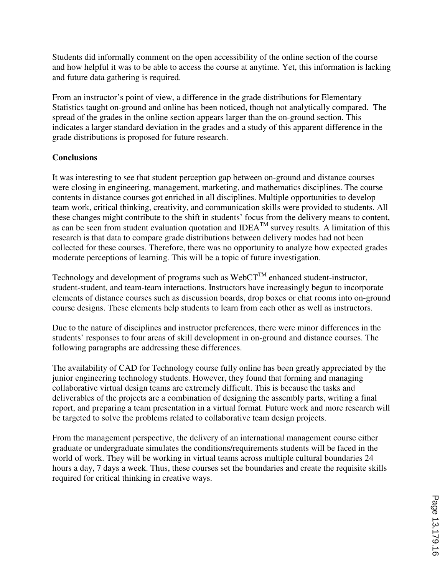Students did informally comment on the open accessibility of the online section of the course and how helpful it was to be able to access the course at anytime. Yet, this information is lacking and future data gathering is required.

From an instructor's point of view, a difference in the grade distributions for Elementary Statistics taught on-ground and online has been noticed, though not analytically compared. The spread of the grades in the online section appears larger than the on-ground section. This indicates a larger standard deviation in the grades and a study of this apparent difference in the grade distributions is proposed for future research.

# **Conclusions**

It was interesting to see that student perception gap between on-ground and distance courses were closing in engineering, management, marketing, and mathematics disciplines. The course contents in distance courses got enriched in all disciplines. Multiple opportunities to develop team work, critical thinking, creativity, and communication skills were provided to students. All these changes might contribute to the shift in students' focus from the delivery means to content, as can be seen from student evaluation quotation and  $IDEA<sup>TM</sup>$  survey results. A limitation of this research is that data to compare grade distributions between delivery modes had not been collected for these courses. Therefore, there was no opportunity to analyze how expected grades moderate perceptions of learning. This will be a topic of future investigation.

Technology and development of programs such as  $WebCT^{TM}$  enhanced student-instructor, student-student, and team-team interactions. Instructors have increasingly begun to incorporate elements of distance courses such as discussion boards, drop boxes or chat rooms into on-ground course designs. These elements help students to learn from each other as well as instructors.

Due to the nature of disciplines and instructor preferences, there were minor differences in the students' responses to four areas of skill development in on-ground and distance courses. The following paragraphs are addressing these differences.

The availability of CAD for Technology course fully online has been greatly appreciated by the junior engineering technology students. However, they found that forming and managing collaborative virtual design teams are extremely difficult. This is because the tasks and deliverables of the projects are a combination of designing the assembly parts, writing a final report, and preparing a team presentation in a virtual format. Future work and more research will be targeted to solve the problems related to collaborative team design projects.

From the management perspective, the delivery of an international management course either graduate or undergraduate simulates the conditions/requirements students will be faced in the world of work. They will be working in virtual teams across multiple cultural boundaries 24 hours a day, 7 days a week. Thus, these courses set the boundaries and create the requisite skills required for critical thinking in creative ways.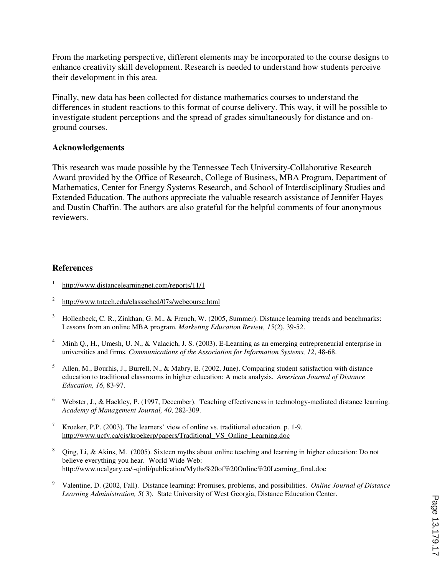From the marketing perspective, different elements may be incorporated to the course designs to enhance creativity skill development. Research is needed to understand how students perceive their development in this area.

Finally, new data has been collected for distance mathematics courses to understand the differences in student reactions to this format of course delivery. This way, it will be possible to investigate student perceptions and the spread of grades simultaneously for distance and onground courses.

#### **Acknowledgements**

This research was made possible by the Tennessee Tech University-Collaborative Research Award provided by the Office of Research, College of Business, MBA Program, Department of Mathematics, Center for Energy Systems Research, and School of Interdisciplinary Studies and Extended Education. The authors appreciate the valuable research assistance of Jennifer Hayes and Dustin Chaffin. The authors are also grateful for the helpful comments of four anonymous reviewers.

#### **References**

- 1 http://www.distancelearningnet.com/reports/11/1
- 2 http://www.tntech.edu/classsched/07s/webcourse.html
- 3 Hollenbeck, C. R., Zinkhan, G. M., & French, W. (2005, Summer). Distance learning trends and benchmarks: Lessons from an online MBA program. *Marketing Education Review, 15*(2), 39-52.
- 4 Minh Q., H., Umesh, U. N., & Valacich, J. S. (2003). E-Learning as an emerging entrepreneurial enterprise in universities and firms. *Communications of the Association for Information Systems, 12*, 48-68.
- 5 Allen, M., Bourhis, J., Burrell, N., & Mabry, E. (2002, June). Comparing student satisfaction with distance education to traditional classrooms in higher education: A meta analysis. *American Journal of Distance Education, 16*, 83-97.
- <sup>6</sup> Webster, J., & Hackley, P. (1997, December). Teaching effectiveness in technology-mediated distance learning. *Academy of Management Journal, 40*, 282-309.
- <sup>7</sup> Kroeker, P.P. (2003). The learners' view of online vs. traditional education. p. 1-9. http://www.ucfv.ca/cis/kroekerp/papers/Traditional\_VS\_Online\_Learning.doc
- <sup>8</sup> Qing, Li, & Akins, M. (2005). Sixteen myths about online teaching and learning in higher education: Do not believe everything you hear. World Wide Web: http://www.ucalgary.ca/~qinli/publication/Myths%20of%20Online%20Learning\_final.doc
- <sup>9</sup>Valentine, D. (2002, Fall). Distance learning: Promises, problems, and possibilities. *Online Journal of Distance Learning Administration, 5*( 3). State University of West Georgia, Distance Education Center.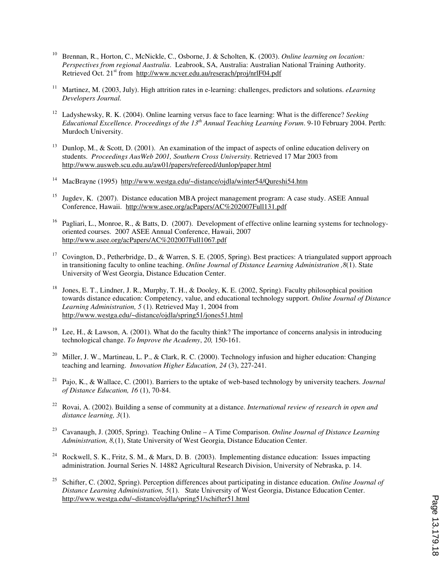- <sup>10</sup>Brennan, R., Horton, C., McNickle, C., Osborne, J. & Scholten, K. (2003). *Online learning on location: Perspectives from regional Australia*. Leabrook, SA, Australia: Australian National Training Authority. Retrieved Oct. 21<sup>st</sup> from http://www.ncver.edu.au/reserach/proj/nrlF04.pdf
- <sup>11</sup> Martinez, M. (2003, July). High attrition rates in e-learning: challenges, predictors and solutions. *eLearning Developers Journal.*
- <sup>12</sup> Ladyshewsky, R. K. (2004). Online learning versus face to face learning: What is the difference? Seeking *Educational Excellence. Proceedings of the 13th Annual Teaching Learning Forum*. 9-10 February 2004. Perth: Murdoch University.
- <sup>13</sup> Dunlop, M., & Scott, D. (2001). An examination of the impact of aspects of online education delivery on students. *Proceedings AusWeb 2001, Southern Cross University*. Retrieved 17 Mar 2003 from http://www.ausweb.scu.edu.au/aw01/papers/refereed/dunlop/paper.html
- <sup>14</sup>MacBrayne (1995) http://www.westga.edu/~distance/ojdla/winter54/Qureshi54.htm
- <sup>15</sup> Jugdev, K. (2007). Distance education MBA project management program: A case study. ASEE Annual Conference, Hawaii. http://www.asee.org/acPapers/AC%202007Full131.pdf
- <sup>16</sup> Pagliari, L., Monroe, R., & Batts, D. (2007). Development of effective online learning systems for technologyoriented courses. 2007 ASEE Annual Conference, Hawaii, 2007 http://www.asee.org/acPapers/AC%202007Full1067.pdf
- <sup>17</sup> Covington, D., Petherbridge, D., & Warren, S. E. (2005, Spring). Best practices: A triangulated support approach in transitioning faculty to online teaching. *Online Journal of Distance Learning Administration ,8*(1). State University of West Georgia, Distance Education Center.
- <sup>18</sup> Jones, E. T., Lindner, J. R., Murphy, T. H., & Dooley, K. E. (2002, Spring). Faculty philosophical position towards distance education: Competency, value, and educational technology support. *Online Journal of Distance Learning Administration, 5* (1). Retrieved May 1, 2004 from http://www.westga.edu/~distance/ojdla/spring51/jones51.html
- Lee, H., & Lawson, A. (2001). What do the faculty think? The importance of concerns analysis in introducing technological change. *To Improve the Academy*, *20,* 150-161.
- <sup>20</sup> Miller, J. W., Martineau, L. P., & Clark, R. C. (2000). Technology infusion and higher education: Changing teaching and learning. *Innovation Higher Education, 24* (3), 227-241.
- <sup>21</sup> Pajo, K., & Wallace, C. (2001). Barriers to the uptake of web-based technology by university teachers. *Journal of Distance Education, 16* (1), 70-84.
- <sup>22</sup>Rovai, A. (2002). Building a sense of community at a distance. *International review of research in open and distance learning, 3*(1).
- <sup>23</sup> Cavanaugh, J. (2005, Spring). Teaching Online A Time Comparison. *Online Journal of Distance Learning Administration, 8,*(1), State University of West Georgia, Distance Education Center.
- <sup>24</sup> Rockwell, S. K., Fritz, S. M., & Marx, D. B. (2003). Implementing distance education: Issues impacting administration. Journal Series N. 14882 Agricultural Research Division, University of Nebraska, p. 14.
- <sup>25</sup>Schifter, C. (2002, Spring). Perception differences about participating in distance education. *Online Journal of Distance Learning Administration, 5*(1). State University of West Georgia, Distance Education Center. http://www.westga.edu/~distance/ojdla/spring51/schifter51.html